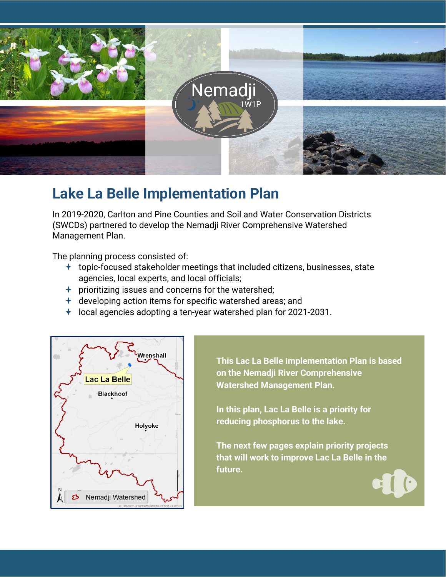

# **Lake La Belle Implementation Plan**

In 2019-2020, Carlton and Pine Counties and Soil and Water Conservation Districts (SWCDs) partnered to develop the Nemadji River Comprehensive Watershed Management Plan.

The planning process consisted of:

- $\pm$  topic-focused stakeholder meetings that included citizens, businesses, state agencies, local experts, and local officials;
- $\rightarrow$  prioritizing issues and concerns for the watershed;
- $\pm$  developing action items for specific watershed areas; and
- $\pm$  local agencies adopting a ten-year watershed plan for 2021-2031.



**This Lac La Belle Implementation Plan is based on the Nemadji River Comprehensive Watershed Management Plan.**

**In this plan, Lac La Belle is a priority for reducing phosphorus to the lake.** 

**The next few pages explain priority projects that will work to improve Lac La Belle in the future.**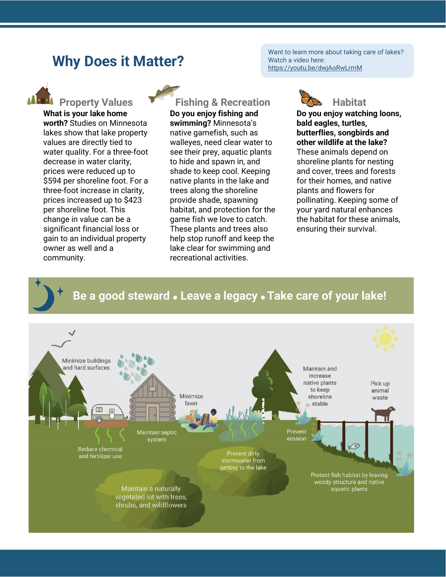#### **Why Does it Matter?**

Want to learn more about taking care of lakes? Watch a video here: https://youtu.be/dwjAoRwLrmM



**What is your lake home worth?** Studies on Minnesota lakes show that lake property values are directly tied to water quality. For a three-foot decrease in water clarity, prices were reduced up to \$594 per shoreline foot. For a three-foot increase in clarity, prices increased up to \$423 per shoreline foot. This change in value can be a significant financial loss or gain to an individual property owner as well and a community.

**PROPERTY Values Property Values Property Values Fishing & Recreation CONS** Habitat

**Do you enjoy fishing and swimming?** Minnesota's native gamefish, such as walleyes, need clear water to see their prey, aquatic plants to hide and spawn in, and shade to keep cool. Keeping native plants in the lake and trees along the shoreline provide shade, spawning habitat, and protection for the game fish we love to catch. These plants and trees also help stop runoff and keep the lake clear for swimming and recreational activities.



**Do you enjoy watching loons, bald eagles, turtles, butterflies, songbirds and other wildlife at the lake?**  These animals depend on shoreline plants for nesting and cover, trees and forests for their homes, and native plants and flowers for pollinating. Keeping some of your yard natural enhances the habitat for these animals, ensuring their survival.

#### **Be a good steward Leave a legacy Take care of your lake!**

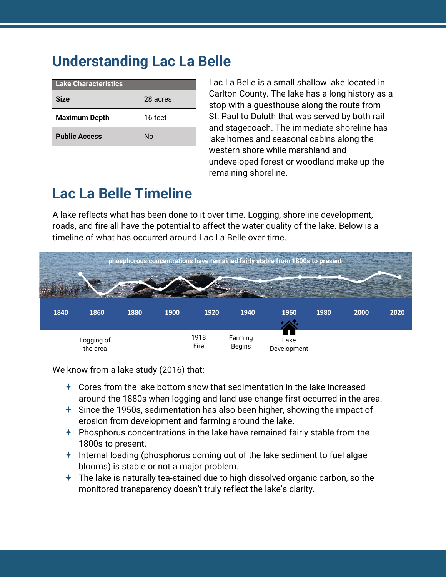# **Understanding Lac La Belle**

| Lake Characteristics |          |  |  |  |  |
|----------------------|----------|--|--|--|--|
| <b>Size</b>          | 28 acres |  |  |  |  |
| <b>Maximum Depth</b> | 16 feet  |  |  |  |  |
| <b>Public Access</b> | No       |  |  |  |  |

Lac La Belle is a small shallow lake located in Carlton County. The lake has a long history as a stop with a guesthouse along the route from St. Paul to Duluth that was served by both rail and stagecoach. The immediate shoreline has lake homes and seasonal cabins along the western shore while marshland and undeveloped forest or woodland make up the remaining shoreline.

# **Lac La Belle Timeline**

A lake reflects what has been done to it over time. Logging, shoreline development, roads, and fire all have the potential to affect the water quality of the lake. Below is a timeline of what has occurred around Lac La Belle over time.



We know from a lake study (2016) that:

- $\triangle$  Cores from the lake bottom show that sedimentation in the lake increased around the 1880s when logging and land use change first occurred in the area.
- $\pm$  Since the 1950s, sedimentation has also been higher, showing the impact of erosion from development and farming around the lake.
- $\div$  Phosphorus concentrations in the lake have remained fairly stable from the 1800s to present.
- $+$  Internal loading (phosphorus coming out of the lake sediment to fuel algae blooms) is stable or not a major problem.
- $\pm$  The lake is naturally tea-stained due to high dissolved organic carbon, so the monitored transparency doesn't truly reflect the lake's clarity.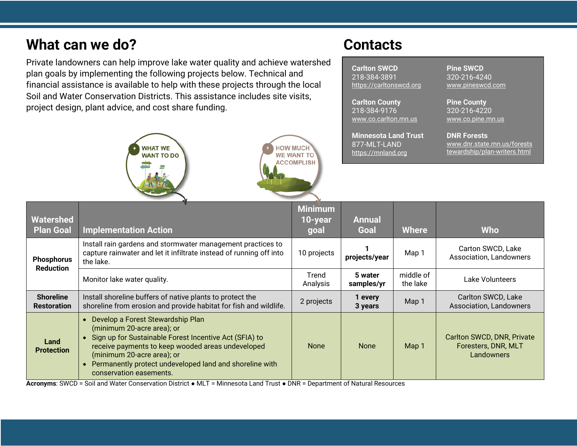## **What can we do?** Contacts

Private landowners can help improve lake water quality and achieve watershed plan goals by implementing the following projects below. Technical and financial assistance is available to help with these projects through the local Soil and Water Conservation Districts. This assistance includes site visits, project design, plant advice, and cost share funding.

**WHAT WE** 

**WANT TO DO** 





**Carlton SWCD** 218-384-3891 [https://carltonswcd.org](https://carltonswcd.org/)

**Carlton County** 218-384-9176 [www.co.carlton.mn.us](https://www.co.carlton.mn.us/)

**Minnesota Land Trust** 877-MLT-LAND [https://mnland.org](https://mnland.org/)

**Pine SWCD** 320-216-4240 [www.pineswcd.com](https://www.pineswcd.com/)

**Pine County** 320-216-4220 [www.co.pine.mn.us](https://www.co.pine.mn.us/)

**DNR Forests** [www.dnr.state.mn.us/forests](http://www.dnr.state.mn.us/foreststewardship/plan-writers.html) [tewardship/plan-writers.html](http://www.dnr.state.mn.us/foreststewardship/plan-writers.html)

| <b>Watershed</b><br><b>Plan Goal</b>   | <b>Implementation Action</b>                                                                                                                                                                                                                                                                                      | <b>Minimum</b><br>$10$ -year<br>goal | <b>Annual</b><br>Goal | Where                 | <b>Who</b>                                                      |
|----------------------------------------|-------------------------------------------------------------------------------------------------------------------------------------------------------------------------------------------------------------------------------------------------------------------------------------------------------------------|--------------------------------------|-----------------------|-----------------------|-----------------------------------------------------------------|
| <b>Phosphorus</b><br><b>Reduction</b>  | Install rain gardens and stormwater management practices to<br>capture rainwater and let it infiltrate instead of running off into<br>the lake.                                                                                                                                                                   | 10 projects                          | projects/year         | Map 1                 | Carton SWCD, Lake<br>Association, Landowners                    |
|                                        | Monitor lake water quality.                                                                                                                                                                                                                                                                                       | Trend<br>Analysis                    | 5 water<br>samples/yr | middle of<br>the lake | Lake Volunteers                                                 |
| <b>Shoreline</b><br><b>Restoration</b> | Install shoreline buffers of native plants to protect the<br>shoreline from erosion and provide habitat for fish and wildlife.                                                                                                                                                                                    | 2 projects                           | 1 every<br>3 years    | Map 1                 | Carlton SWCD, Lake<br><b>Association, Landowners</b>            |
| Land<br><b>Protection</b>              | Develop a Forest Stewardship Plan<br>(minimum 20-acre area); or<br>• Sign up for Sustainable Forest Incentive Act (SFIA) to<br>receive payments to keep wooded areas undeveloped<br>(minimum 20-acre area); or<br>Permanently protect undeveloped land and shoreline with<br>$\bullet$<br>conservation easements. | <b>None</b>                          | <b>None</b>           | Map 1                 | Carlton SWCD, DNR, Private<br>Foresters, DNR, MLT<br>Landowners |

**HOW MUCH WE WANT TO** 

**ACCOMPLISH** 

**Acronyms**: SWCD = Soil and Water Conservation District ● MLT = Minnesota Land Trust ● DNR = Department of Natural Resources